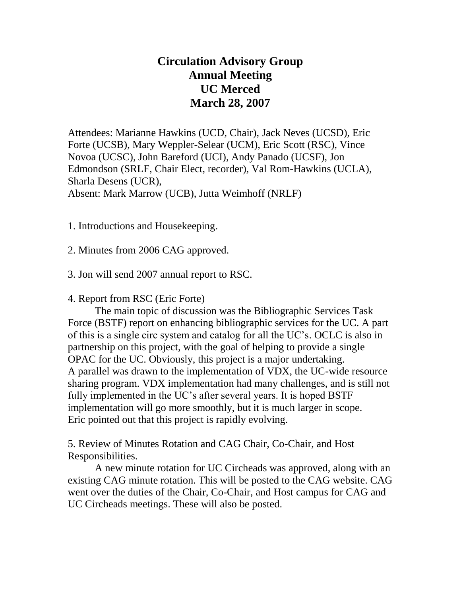## **Circulation Advisory Group Annual Meeting UC Merced March 28, 2007**

Attendees: Marianne Hawkins (UCD, Chair), Jack Neves (UCSD), Eric Forte (UCSB), Mary Weppler-Selear (UCM), Eric Scott (RSC), Vince Novoa (UCSC), John Bareford (UCI), Andy Panado (UCSF), Jon Edmondson (SRLF, Chair Elect, recorder), Val Rom-Hawkins (UCLA), Sharla Desens (UCR), Absent: Mark Marrow (UCB), Jutta Weimhoff (NRLF)

1. Introductions and Housekeeping.

2. Minutes from 2006 CAG approved.

3. Jon will send 2007 annual report to RSC.

4. Report from RSC (Eric Forte)

The main topic of discussion was the Bibliographic Services Task Force (BSTF) report on enhancing bibliographic services for the UC. A part of this is a single circ system and catalog for all the UC's. OCLC is also in partnership on this project, with the goal of helping to provide a single OPAC for the UC. Obviously, this project is a major undertaking. A parallel was drawn to the implementation of VDX, the UC-wide resource sharing program. VDX implementation had many challenges, and is still not fully implemented in the UC's after several years. It is hoped BSTF implementation will go more smoothly, but it is much larger in scope. Eric pointed out that this project is rapidly evolving.

5. Review of Minutes Rotation and CAG Chair, Co-Chair, and Host Responsibilities.

A new minute rotation for UC Circheads was approved, along with an existing CAG minute rotation. This will be posted to the CAG website. CAG went over the duties of the Chair, Co-Chair, and Host campus for CAG and UC Circheads meetings. These will also be posted.